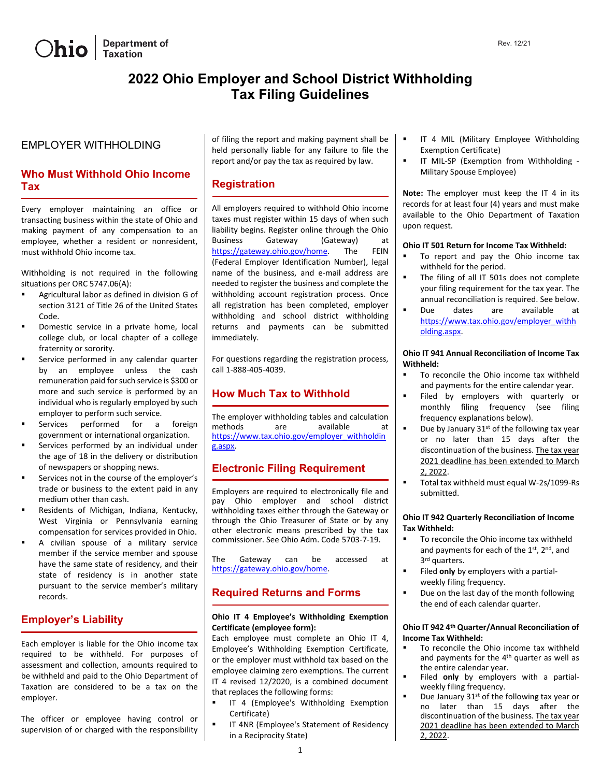

# **2022 Ohio Employer and School District Withholding Tax Filing Guidelines**

### EMPLOYER WITHHOLDING

# **Who Must Withhold Ohio Income Tax**

Every employer maintaining an office or transacting business within the state of Ohio and making payment of any compensation to an employee, whether a resident or nonresident, must withhold Ohio income tax.

Withholding is not required in the following situations per ORC 5747.06(A):

- Agricultural labor as defined in division G of section 3121 of Title 26 of the United States Code.
- Domestic service in a private home, local college club, or local chapter of a college fraternity or sorority.
- Service performed in any calendar quarter by an employee unless the cash remuneration paid for such service is \$300 or more and such service is performed by an individual who is regularly employed by such employer to perform such service.
- Services performed for a foreign government or international organization.
- Services performed by an individual under the age of 18 in the delivery or distribution of newspapers or shopping news.
- Services not in the course of the employer's trade or business to the extent paid in any medium other than cash.
- Residents of Michigan, Indiana, Kentucky, West Virginia or Pennsylvania earning compensation for services provided in Ohio.
- A civilian spouse of a military service member if the service member and spouse have the same state of residency, and their state of residency is in another state pursuant to the service member's military records.

# **Employer's Liability**

Each employer is liable for the Ohio income tax required to be withheld. For purposes of assessment and collection, amounts required to be withheld and paid to the Ohio Department of Taxation are considered to be a tax on the employer.

The officer or employee having control or supervision of or charged with the responsibility

of filing the report and making payment shall be held personally liable for any failure to file the report and/or pay the tax as required by law.

### **Registration**

All employers required to withhold Ohio income taxes must register within 15 days of when such liability begins. Register online through the Ohio Business Gateway (Gateway) at [https://gateway.ohio.gov/home.](https://gateway.ohio.gov/home) The FEIN (Federal Employer Identification Number), legal name of the business, and e-mail address are needed to register the business and complete the withholding account registration process. Once all registration has been completed, employer withholding and school district withholding returns and payments can be submitted immediately.

For questions regarding the registration process, call 1-888-405-4039.

# **How Much Tax to Withhold**

The employer withholding tables and calculation methods are available at [https://www.tax.ohio.gov/employer\\_withholdin](https://www.tax.ohio.gov/employer_withholding.aspx) [g.aspx.](https://www.tax.ohio.gov/employer_withholding.aspx)

## **Electronic Filing Requirement**

Employers are required to electronically file and pay Ohio employer and school district withholding taxes either through the Gateway or through the Ohio Treasurer of State or by any other electronic means prescribed by the tax commissioner. See Ohio Adm. Code 5703-7-19.

The Gateway can be accessed at [https://gateway.ohio.gov/home.](https://gateway.ohio.gov/home) 

# **Required Returns and Forms**

#### **Ohio IT 4 Employee's Withholding Exemption Certificate (employee form):**

Each employee must complete an Ohio IT 4, Employee's Withholding Exemption Certificate, or the employer must withhold tax based on the employee claiming zero exemptions. The current IT 4 revised 12/2020, is a combined document that replaces the following forms:

- IT 4 (Employee's Withholding Exemption Certificate)
- IT 4NR (Employee's Statement of Residency in a Reciprocity State)
- IT 4 MIL (Military Employee Withholding Exemption Certificate)
- IT MIL-SP (Exemption from Withholding Military Spouse Employee)

**Note:** The employer must keep the IT 4 in its records for at least four (4) years and must make available to the Ohio Department of Taxation upon request.

#### **Ohio IT 501 Return for Income Tax Withheld:**

- **To report and pay the Ohio income tax** withheld for the period.
- The filing of all IT 501s does not complete your filing requirement for the tax year. The annual reconciliation is required. See below.
- Due dates are available at [https://www.tax.ohio.gov/employer\\_withh](https://www.tax.ohio.gov/employer_withholding.aspx) [olding.aspx.](https://www.tax.ohio.gov/employer_withholding.aspx)

#### **Ohio IT 941 Annual Reconciliation of Income Tax Withheld:**

- To reconcile the Ohio income tax withheld and payments for the entire calendar year.
- Filed by employers with quarterly or monthly filing frequency (see filing frequency explanations below).
- $\blacksquare$  Due by January 31<sup>st</sup> of the following tax year or no later than 15 days after the discontinuation of the business. The tax year 2021 deadline has been extended to March 2, 2022.
- Total tax withheld must equal W-2s/1099-Rs submitted.

#### **Ohio IT 942 Quarterly Reconciliation of Income Tax Withheld:**

- To reconcile the Ohio income tax withheld and payments for each of the 1<sup>st</sup>, 2<sup>nd</sup>, and 3rd quarters.
- Filed **only** by employers with a partialweekly filing frequency.
- Due on the last day of the month following the end of each calendar quarter.

#### **Ohio IT 942 4th Quarter/Annual Reconciliation of Income Tax Withheld:**

- To reconcile the Ohio income tax withheld and payments for the 4<sup>th</sup> quarter as well as the entire calendar year.
- Filed **only** by employers with a partialweekly filing frequency.
	- Due January 31st of the following tax year or no later than 15 days after the discontinuation of the business. The tax year 2021 deadline has been extended to March 2, 2022.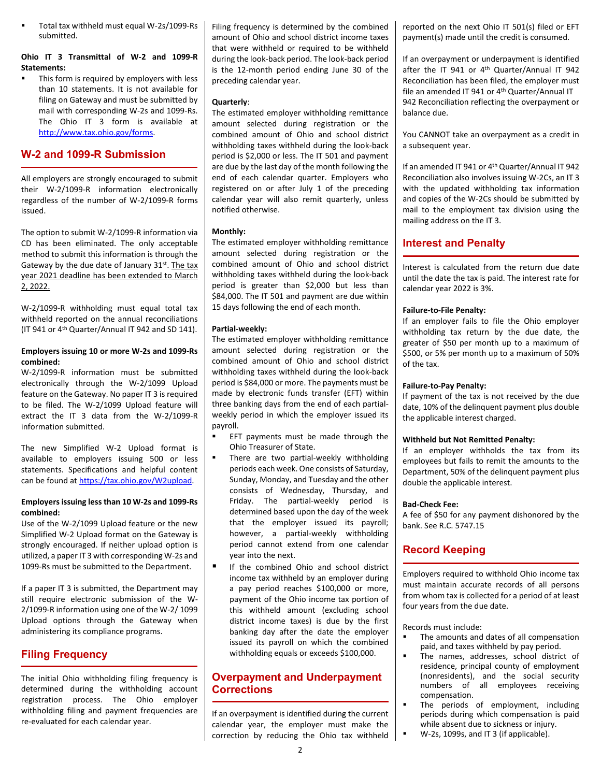Total tax withheld must equal W-2s/1099-Rs submitted.

### **Ohio IT 3 Transmittal of W-2 and 1099-R Statements:**

 This form is required by employers with less than 10 statements. It is not available for filing on Gateway and must be submitted by mail with corresponding W-2s and 1099-Rs. The Ohio IT 3 form is available at [http://www.tax.ohio.gov/forms.](http://www.tax.ohio.gov/forms)

# **W-2 and 1099-R Submission**

All employers are strongly encouraged to submit their W-2/1099-R information electronically regardless of the number of W-2/1099-R forms issued.

The option to submit W-2/1099-R information via CD has been eliminated. The only acceptable method to submit this information is through the Gateway by the due date of January 31st. The tax year 2021 deadline has been extended to March 2, 2022.

W-2/1099-R withholding must equal total tax withheld reported on the annual reconciliations (IT 941 or 4th Quarter/Annual IT 942 and SD 141).

### **Employers issuing 10 or more W-2s and 1099-Rs combined:**

W-2/1099-R information must be submitted electronically through the W-2/1099 Upload feature on the Gateway. No paper IT 3 is required to be filed. The W-2/1099 Upload feature will extract the IT 3 data from the W-2/1099-R information submitted.

The new Simplified W-2 Upload format is available to employers issuing 500 or less statements. Specifications and helpful content can be found at [https://tax.ohio.gov/W2upload.](https://tax.ohio.gov/wps/portal/gov/tax/business/ohio-business-taxes/employer-withholding/w2-information-page)

### **Employers issuing less than 10 W-2s and 1099-Rs combined:**

Use of the W-2/1099 Upload feature or the new Simplified W-2 Upload format on the Gateway is strongly encouraged. If neither upload option is utilized, a paper IT 3 with corresponding W-2s and 1099-Rs must be submitted to the Department.

If a paper IT 3 is submitted, the Department may still require electronic submission of the W-2/1099-R information using one of the W-2/ 1099 Upload options through the Gateway when administering its compliance programs.

# **Filing Frequency**

The initial Ohio withholding filing frequency is determined during the withholding account registration process. The Ohio employer withholding filing and payment frequencies are re-evaluated for each calendar year.

Filing frequency is determined by the combined amount of Ohio and school district income taxes that were withheld or required to be withheld during the look-back period. The look-back period is the 12-month period ending June 30 of the preceding calendar year.

# **Quarterly**:

The estimated employer withholding remittance amount selected during registration or the combined amount of Ohio and school district withholding taxes withheld during the look-back period is \$2,000 or less. The IT 501 and payment are due by the last day of the month following the end of each calendar quarter. Employers who registered on or after July 1 of the preceding calendar year will also remit quarterly, unless notified otherwise.

#### **Monthly:**

The estimated employer withholding remittance amount selected during registration or the combined amount of Ohio and school district withholding taxes withheld during the look-back period is greater than \$2,000 but less than \$84,000. The IT 501 and payment are due within 15 days following the end of each month.

### **Partial-weekly:**

The estimated employer withholding remittance amount selected during registration or the combined amount of Ohio and school district withholding taxes withheld during the look-back period is \$84,000 or more. The payments must be made by electronic funds transfer (EFT) within three banking days from the end of each partialweekly period in which the employer issued its payroll.

- EFT payments must be made through the Ohio Treasurer of State.
- **There are two partial-weekly withholding** periods each week. One consists of Saturday, Sunday, Monday, and Tuesday and the other consists of Wednesday, Thursday, and Friday. The partial-weekly period is determined based upon the day of the week that the employer issued its payroll; however, a partial-weekly withholding period cannot extend from one calendar year into the next.
- If the combined Ohio and school district income tax withheld by an employer during a pay period reaches \$100,000 or more, payment of the Ohio income tax portion of this withheld amount (excluding school district income taxes) is due by the first banking day after the date the employer issued its payroll on which the combined withholding equals or exceeds \$100,000.

# **Overpayment and Underpayment Corrections**

If an overpayment is identified during the current calendar year, the employer must make the correction by reducing the Ohio tax withheld reported on the next Ohio IT 501(s) filed or EFT payment(s) made until the credit is consumed.

If an overpayment or underpayment is identified after the IT 941 or 4<sup>th</sup> Quarter/Annual IT 942 Reconciliation has been filed, the employer must file an amended IT 941 or 4th Quarter/Annual IT 942 Reconciliation reflecting the overpayment or balance due.

You CANNOT take an overpayment as a credit in a subsequent year.

If an amended IT 941 or 4th Quarter/Annual IT 942 Reconciliation also involves issuing W-2Cs, an IT 3 with the updated withholding tax information and copies of the W-2Cs should be submitted by mail to the employment tax division using the mailing address on the IT 3.

# **Interest and Penalty**

Interest is calculated from the return due date until the date the tax is paid. The interest rate for calendar year 2022 is 3%.

#### **Failure-to-File Penalty:**

If an employer fails to file the Ohio employer withholding tax return by the due date, the greater of \$50 per month up to a maximum of \$500, or 5% per month up to a maximum of 50% of the tax.

#### **Failure-to-Pay Penalty:**

If payment of the tax is not received by the due date, 10% of the delinquent payment plus double the applicable interest charged.

#### **Withheld but Not Remitted Penalty:**

If an employer withholds the tax from its employees but fails to remit the amounts to the Department, 50% of the delinquent payment plus double the applicable interest.

### **Bad-Check Fee:**

A fee of \$50 for any payment dishonored by the bank. See R.C. 5747.15

# **Record Keeping**

Employers required to withhold Ohio income tax must maintain accurate records of all persons from whom tax is collected for a period of at least four years from the due date.

Records must include:

- The amounts and dates of all compensation paid, and taxes withheld by pay period.
- The names, addresses, school district of residence, principal county of employment (nonresidents), and the social security numbers of all employees receiving compensation.
- The periods of employment, including periods during which compensation is paid while absent due to sickness or injury.
- W-2s, 1099s, and IT 3 (if applicable).